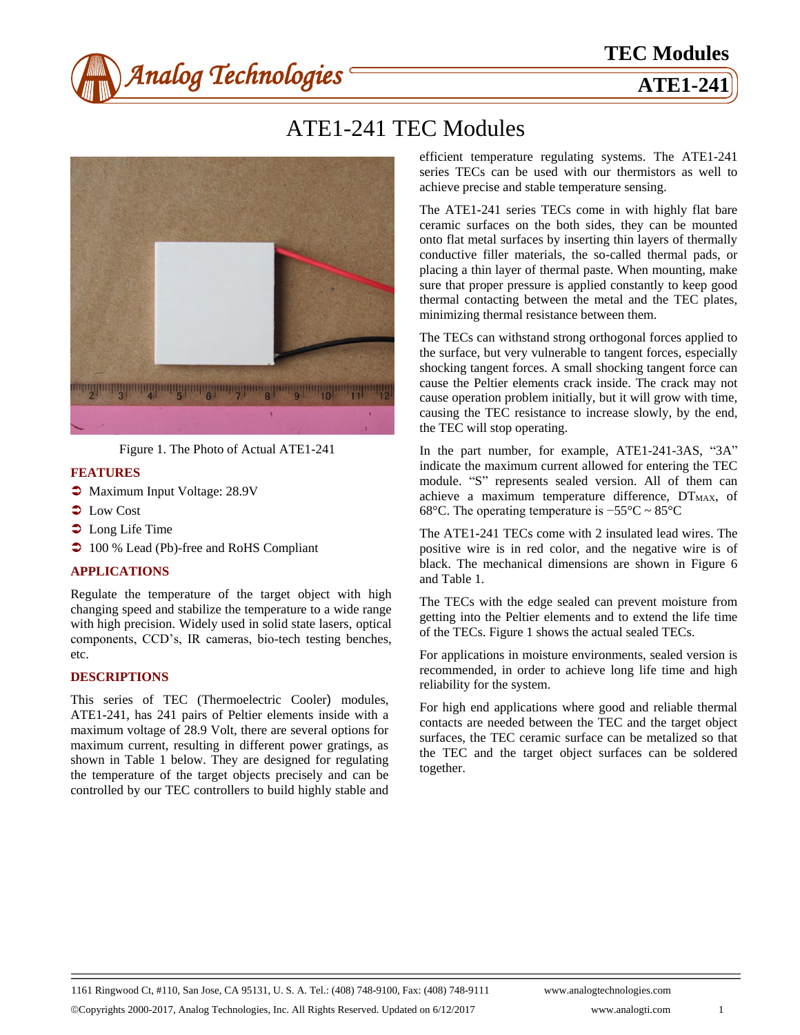

# ATE1-241 TEC Modules



Figure 1. The Photo of Actual ATE1-241

#### **FEATURES**

- $\bullet$  Maximum Input Voltage: 28.9V
- $\bullet$  Low Cost
- $\bullet$  Long Life Time
- **→** 100 % Lead (Pb)-free and RoHS Compliant

#### **APPLICATIONS**

Regulate the temperature of the target object with high changing speed and stabilize the temperature to a wide range with high precision. Widely used in solid state lasers, optical components, CCD's, IR cameras, bio-tech testing benches, etc.

#### **DESCRIPTIONS**

This series of TEC (Thermoelectric Cooler) modules, ATE1**-**241, has 241 pairs of Peltier elements inside with a maximum voltage of 28.9 Volt, there are several options for maximum current, resulting in different power gratings, as shown in Table 1 below. They are designed for regulating the temperature of the target objects precisely and can be controlled by our TEC controllers to build highly stable and efficient temperature regulating systems. The ATE1-241 series TECs can be used with our thermistors as well to achieve precise and stable temperature sensing.

The ATE1**-**241 series TECs come in with highly flat bare ceramic surfaces on the both sides, they can be mounted onto flat metal surfaces by inserting thin layers of thermally conductive filler materials, the so-called thermal pads, or placing a thin layer of thermal paste. When mounting, make sure that proper pressure is applied constantly to keep good thermal contacting between the metal and the TEC plates, minimizing thermal resistance between them.

The TECs can withstand strong orthogonal forces applied to the surface, but very vulnerable to tangent forces, especially shocking tangent forces. A small shocking tangent force can cause the Peltier elements crack inside. The crack may not cause operation problem initially, but it will grow with time, causing the TEC resistance to increase slowly, by the end, the TEC will stop operating.

In the part number, for example, ATE1-241-3AS, "3A" indicate the maximum current allowed for entering the TEC module. "S" represents sealed version. All of them can achieve a maximum temperature difference,  $DT<sub>MAX</sub>$ , of 68°C. The operating temperature is −55°C ~ 85°C

The ATE1**-**241 TECs come with 2 insulated lead wires. The positive wire is in red color, and the negative wire is of black. The mechanical dimensions are shown in Figure 6 and Table 1.

The TECs with the edge sealed can prevent moisture from getting into the Peltier elements and to extend the life time of the TECs. Figure 1 shows the actual sealed TECs.

For applications in moisture environments, sealed version is recommended, in order to achieve long life time and high reliability for the system.

For high end applications where good and reliable thermal contacts are needed between the TEC and the target object surfaces, the TEC ceramic surface can be metalized so that the TEC and the target object surfaces can be soldered together.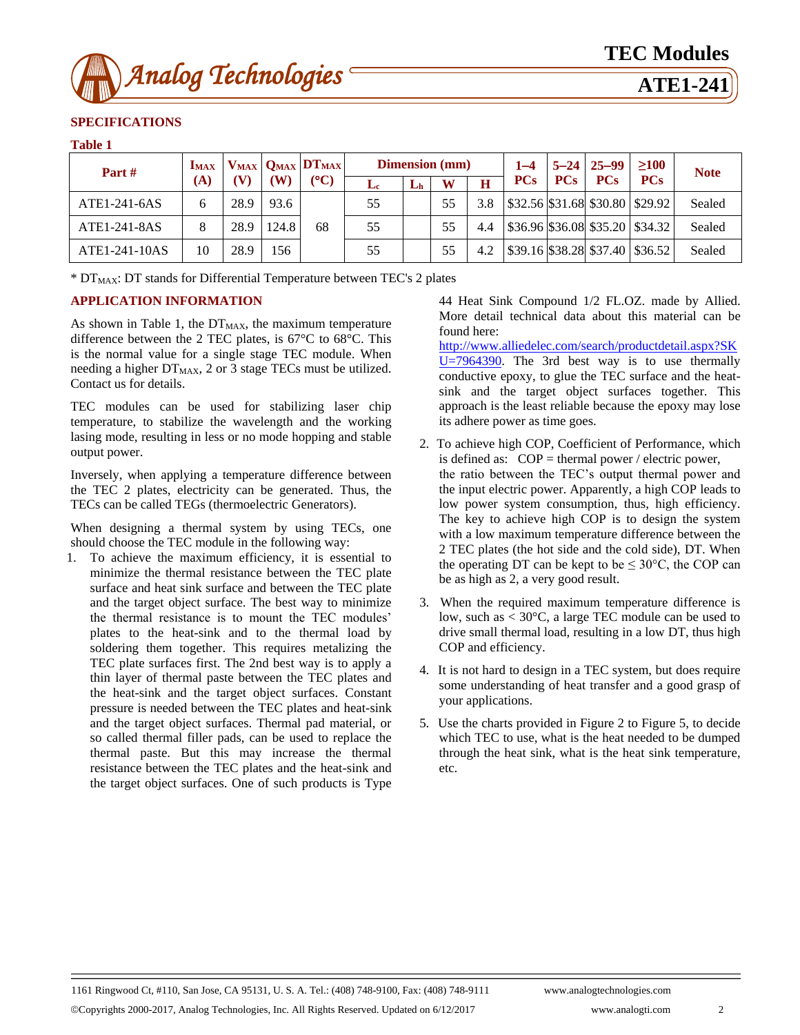

## **SPECIFICATIONS**

#### **Table 1**

| Part $#$      | <b>IMAX</b> |      | W)    | $V_{MAX}$ $Q_{MAX}$ $DT_{MAX}$<br>$(C^{\circ}C)$ | <b>Dimension</b> (mm) |    |    |     | $1 - 4$    |            | $5 - 24$ 25-99 | >100                                                                | <b>Note</b> |
|---------------|-------------|------|-------|--------------------------------------------------|-----------------------|----|----|-----|------------|------------|----------------|---------------------------------------------------------------------|-------------|
|               | <b>(A)</b>  |      |       |                                                  | Le:                   | Lь | W  | н   | <b>PCs</b> | <b>PCs</b> | <b>PCs</b>     | <b>PCs</b>                                                          |             |
| ATE1-241-6AS  | 6           | 28.9 | 93.6  |                                                  | 55                    |    | 55 | 3.8 |            |            |                | $\frac{1}{2}$ \$32.56 \$31.68 \$30.80 \$29.92                       | Sealed      |
| ATE1-241-8AS  | 8           | 28.9 | 124.8 | 68                                               | 55                    |    | 55 | 4.4 |            |            |                | $\left  $36.96 \right  $36.08 \right  $35.20 \left  $34.32 \right $ | Sealed      |
| ATE1-241-10AS | 10          | 28.9 | 56    |                                                  | 55                    |    | 55 | 4.2 |            |            |                | $\frac{1}{39.16}$ \$38.28 \$37.40   \$36.52                         | Sealed      |

\* DT<sub>MAX</sub>: DT stands for Differential Temperature between TEC's 2 plates

#### **APPLICATION INFORMATION**

As shown in Table 1, the  $DT_{MAX}$ , the maximum temperature difference between the 2 TEC plates, is 67  $\mathbb C$  to 68  $\mathbb C$ . This is the normal value for a single stage TEC module. When needing a higher  $DT_{MAX}$ , 2 or 3 stage TECs must be utilized. Contact us for details.

TEC modules can be used for stabilizing laser chip temperature, to stabilize the wavelength and the working lasing mode, resulting in less or no mode hopping and stable output power.

Inversely, when applying a temperature difference between the TEC 2 plates, electricity can be generated. Thus, the TECs can be called TEGs (thermoelectric Generators).

When designing a thermal system by using TECs, one should choose the TEC module in the following way:

1. To achieve the maximum efficiency, it is essential to minimize the thermal resistance between the TEC plate surface and heat sink surface and between the TEC plate and the target object surface. The best way to minimize the thermal resistance is to mount the TEC modules' plates to the heat-sink and to the thermal load by soldering them together. This requires metalizing the TEC plate surfaces first. The 2nd best way is to apply a thin layer of thermal paste between the TEC plates and the heat-sink and the target object surfaces. Constant pressure is needed between the TEC plates and heat-sink and the target object surfaces. Thermal pad material, or so called thermal filler pads, can be used to replace the thermal paste. But this may increase the thermal resistance between the TEC plates and the heat-sink and the target object surfaces. One of such products is Type

44 Heat Sink Compound 1/2 FL.OZ. made by Allied. More detail technical data about this material can be found here:

[http://www.alliedelec.com/search/productdetail.aspx?SK](http://www.alliedelec.com/search/productdetail.aspx?SK%20U=7964390) [U=7964390.](http://www.alliedelec.com/search/productdetail.aspx?SK%20U=7964390) The 3rd best way is to use thermally conductive epoxy, to glue the TEC surface and the heatsink and the target object surfaces together. This approach is the least reliable because the epoxy may lose its adhere power as time goes.

- 2. To achieve high COP, Coefficient of Performance, which is defined as:  $COP =$  thermal power / electric power, the ratio between the TEC's output thermal power and the input electric power. Apparently, a high COP leads to low power system consumption, thus, high efficiency. The key to achieve high COP is to design the system with a low maximum temperature difference between the 2 TEC plates (the hot side and the cold side), DT. When the operating DT can be kept to be  $\leq 30^{\circ}$ C, the COP can be as high as 2, a very good result.
- 3. When the required maximum temperature difference is low, such as  $<$  30 °C, a large TEC module can be used to drive small thermal load, resulting in a low DT, thus high COP and efficiency.
- 4. It is not hard to design in a TEC system, but does require some understanding of heat transfer and a good grasp of your applications.
- 5. Use the charts provided in Figure 2 to Figure 5, to decide which TEC to use, what is the heat needed to be dumped through the heat sink, what is the heat sink temperature, etc.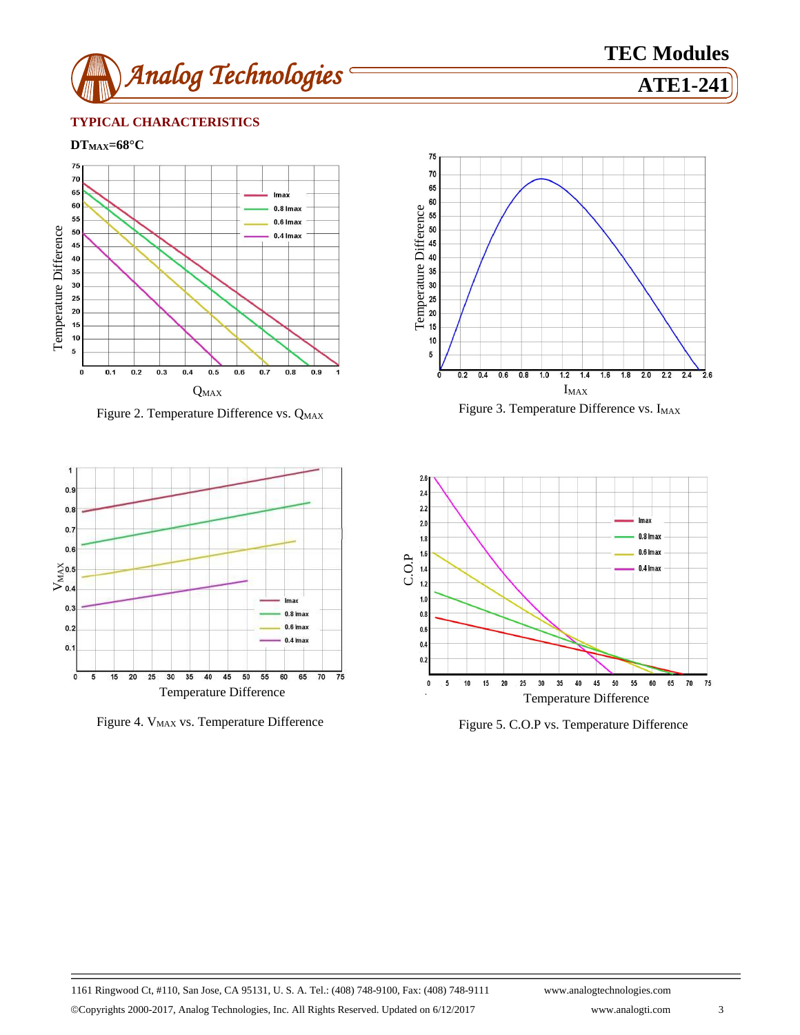

# **TEC Modules**

#### **TYPICAL CHARACTERISTICS**

**DTMAX=68°C**



Figure 2. Temperature Difference vs. Q<sub>MAX</sub>



Figure 4. V<sub>MAX</sub> vs. Temperature Difference Figure 5. C.O.P vs. Temperature Difference



Figure 3. Temperature Difference vs. I<sub>MAX</sub>